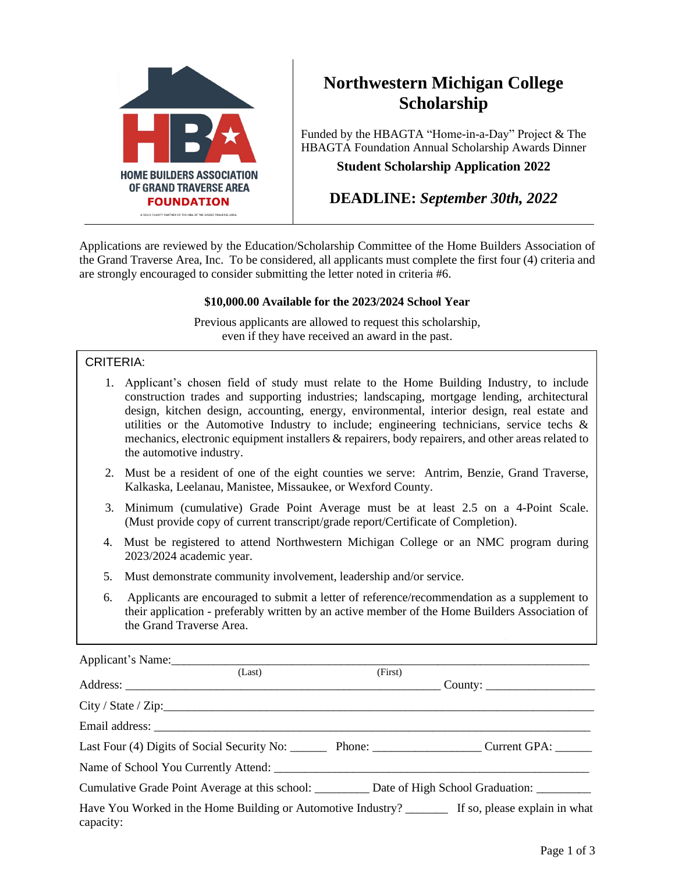

# **Northwestern Michigan College Scholarship**

Funded by the HBAGTA "Home-in-a-Day" Project & The HBAGTA Foundation Annual Scholarship Awards Dinner **Student Scholarship Application 2022**

**DEADLINE:** *September 30th, 2022*

Applications are reviewed by the Education/Scholarship Committee of the Home Builders Association of the Grand Traverse Area, Inc. To be considered, all applicants must complete the first four (4) criteria and are strongly encouraged to consider submitting the letter noted in criteria #6.

### **\$10,000.00 Available for the 2023/2024 School Year**

Previous applicants are allowed to request this scholarship, even if they have received an award in the past.

### CRITERIA:

- 1. Applicant's chosen field of study must relate to the Home Building Industry, to include construction trades and supporting industries; landscaping, mortgage lending, architectural design, kitchen design, accounting, energy, environmental, interior design, real estate and utilities or the Automotive Industry to include; engineering technicians, service techs  $\&$ mechanics, electronic equipment installers & repairers, body repairers, and other areas related to the automotive industry.
- 2. Must be a resident of one of the eight counties we serve: Antrim, Benzie, Grand Traverse, Kalkaska, Leelanau, Manistee, Missaukee, or Wexford County.
- 3. Minimum (cumulative) Grade Point Average must be at least 2.5 on a 4-Point Scale. (Must provide copy of current transcript/grade report/Certificate of Completion).
- 4. Must be registered to attend Northwestern Michigan College or an NMC program during 2023/2024 academic year.
- 5. Must demonstrate community involvement, leadership and/or service.
- 6. Applicants are encouraged to submit a letter of reference/recommendation as a supplement to their application - preferably written by an active member of the Home Builders Association of the Grand Traverse Area.

| Applicant's Name:                                                                   |                     |         |                                                                                |
|-------------------------------------------------------------------------------------|---------------------|---------|--------------------------------------------------------------------------------|
|                                                                                     | (Last)              | (First) |                                                                                |
|                                                                                     |                     |         | $\text{Country:}$                                                              |
|                                                                                     | City / State / Zip: |         |                                                                                |
|                                                                                     |                     |         |                                                                                |
| Last Four (4) Digits of Social Security No: Phone: Phone: Current GPA: Current GPA: |                     |         |                                                                                |
|                                                                                     |                     |         |                                                                                |
|                                                                                     |                     |         | Cumulative Grade Point Average at this school: Date of High School Graduation: |
| capacity:                                                                           |                     |         |                                                                                |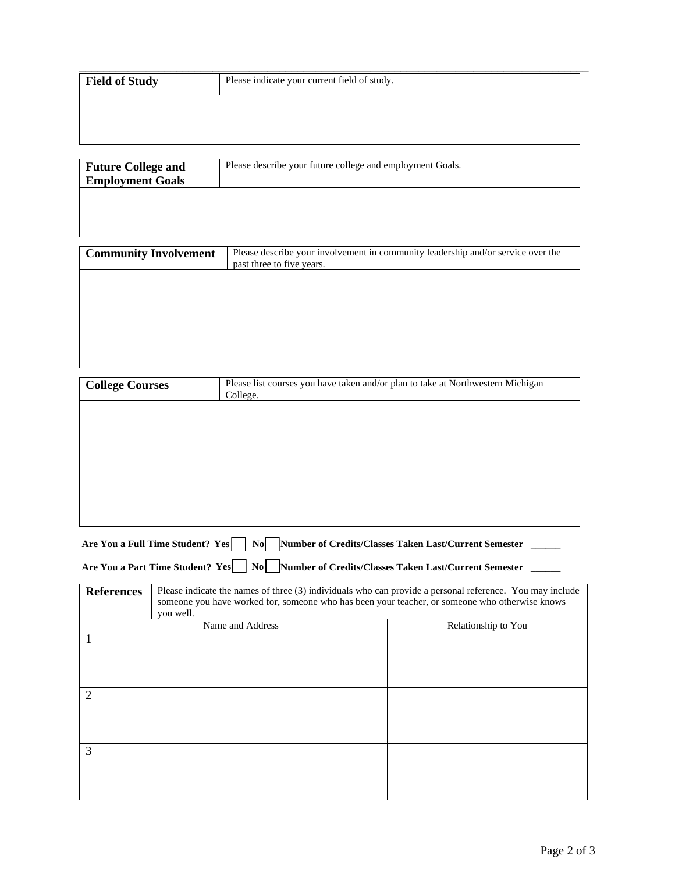| <b>Field of Study</b> | Please indicate your current field of study. |  |
|-----------------------|----------------------------------------------|--|
|                       |                                              |  |
|                       |                                              |  |
|                       |                                              |  |

| <b>Future College and</b> | Please describe your future college and employment Goals. |  |
|---------------------------|-----------------------------------------------------------|--|
| <b>Employment Goals</b>   |                                                           |  |
|                           |                                                           |  |
|                           |                                                           |  |
|                           |                                                           |  |

| <b>Community Involvement</b> | Please describe your involvement in community leadership and/or service over the<br>past three to five years. |
|------------------------------|---------------------------------------------------------------------------------------------------------------|
|                              |                                                                                                               |
|                              |                                                                                                               |
|                              |                                                                                                               |
|                              |                                                                                                               |

| <b>College Courses</b>                                                                                                                                                                                                                       |  |                                  | Please list courses you have taken and/or plan to take at Northwestern Michigan<br>College. |                                                          |  |
|----------------------------------------------------------------------------------------------------------------------------------------------------------------------------------------------------------------------------------------------|--|----------------------------------|---------------------------------------------------------------------------------------------|----------------------------------------------------------|--|
|                                                                                                                                                                                                                                              |  |                                  |                                                                                             |                                                          |  |
|                                                                                                                                                                                                                                              |  |                                  |                                                                                             |                                                          |  |
|                                                                                                                                                                                                                                              |  |                                  |                                                                                             |                                                          |  |
|                                                                                                                                                                                                                                              |  |                                  |                                                                                             |                                                          |  |
|                                                                                                                                                                                                                                              |  |                                  |                                                                                             |                                                          |  |
|                                                                                                                                                                                                                                              |  | Are You a Full Time Student? Yes |                                                                                             | No Number of Credits/Classes Taken Last/Current Semester |  |
|                                                                                                                                                                                                                                              |  |                                  | Are You a Part Time Student? Yes No Number of Credits/Classes Taken Last/Current Semester   |                                                          |  |
|                                                                                                                                                                                                                                              |  |                                  |                                                                                             |                                                          |  |
| Please indicate the names of three (3) individuals who can provide a personal reference. You may include<br><b>References</b><br>someone you have worked for, someone who has been your teacher, or someone who otherwise knows<br>you well. |  |                                  |                                                                                             |                                                          |  |
|                                                                                                                                                                                                                                              |  |                                  | Name and Address                                                                            | Relationship to You                                      |  |
| 1                                                                                                                                                                                                                                            |  |                                  |                                                                                             |                                                          |  |
|                                                                                                                                                                                                                                              |  |                                  |                                                                                             |                                                          |  |
| 2                                                                                                                                                                                                                                            |  |                                  |                                                                                             |                                                          |  |
|                                                                                                                                                                                                                                              |  |                                  |                                                                                             |                                                          |  |
|                                                                                                                                                                                                                                              |  |                                  |                                                                                             |                                                          |  |
| 3                                                                                                                                                                                                                                            |  |                                  |                                                                                             |                                                          |  |
|                                                                                                                                                                                                                                              |  |                                  |                                                                                             |                                                          |  |
|                                                                                                                                                                                                                                              |  |                                  |                                                                                             |                                                          |  |